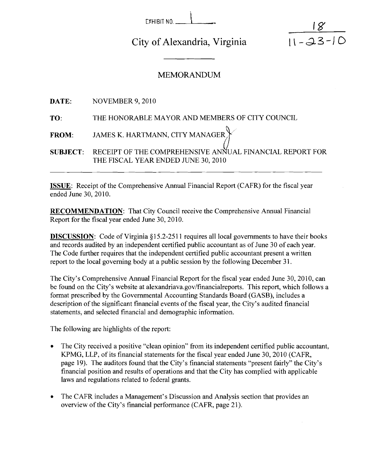| EXHIBIT NO. |  |  |
|-------------|--|--|

 $\begin{array}{c} \mathsf{EYHIBIT\,N0} \end{array}$ <br>v of Alexandria Virginia City of Alexandria, Virginia

## $18$  $\frac{11 - 23 - 10}{11 - 23 - 10}$

## MEMORANDUM

|     | <b>DATE:</b> NOVEMBER 9, 2010                                                                                |
|-----|--------------------------------------------------------------------------------------------------------------|
| TO: | THE HONORABLE MAYOR AND MEMBERS OF CITY COUNCIL                                                              |
|     | FROM: JAMES K. HARTMANN, CITY MANAGER $\big\}$                                                               |
|     | SUBJECT:     RECEIPT OF THE COMPREHENSIVE ANNUAL FINANCIAL REPORT FOR<br>THE FISCAL YEAR ENDED JUNE 30, 2010 |

ISSUE: Receipt of the Comprehensive Annual Financial Report (CAFR) for the fiscal year ended June 30.2010.

RECOMMENDATION: That City Council receive the Comprehensive Annual Financial Report for the fiscal year ended June 30,2010.

**DISCUSSION:** Code of Virginia §15.2-2511 requires all local governments to have their books and records audited by an independent certified public accountant as of June 30 of each year. The Code further requires that the independent certified public accountant present a written report to the local governing body at a public session by the following December 31.

The City's Comprehensive Annual Financial Report for the fiscal year ended June 30,2010, can be found on the City's website at **alexandriava.gov/financialreports.** This report, which follows a format prescribed by the Governmental Accounting Standards Board (GASB), includes a description of the significant financial events of the fiscal year, the City's audited financial statements, and selected financial and demographic information.

The following are highlights of the report:

- The City received a positive "clean opinion" from its independent certified public accountant, KPMG, LLP, of its financial statements for the fiscal year ended June 30,2010 (CAFR, page 19). The auditors found that the City's financial statements "present fairly" the City's financial position and results of operations and that the City has complied with applicable laws and regulations related to federal grants.
- The CAFR includes a Management's Discussion and Analysis section that provides an overview of the City's financial performance (CAFR, page 21).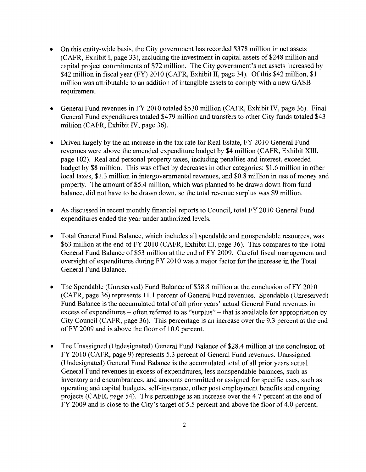- On this entity-wide basis, the City government has recorded \$378 million in net assets  $\bullet$ (CAFR, Exhibit I, page 33), including the investment in capital assets of \$248 million and capital project commitments of \$72 million. The City government's net assets increased by \$42 million in fiscal year (FY) 2010 (CAFR, Exhibit II, page 34). Of this \$42 million, \$1 million was attributable to an addition of intangible assets to comply with a new GASB requirement.
- General Fund revenues in FY 2010 totaled \$530 million (CAFR, Exhibit IV, page 36). Final  $\bullet$ General Fund expenditures totaled \$479 million and transfers to other City funds totaled \$43 million (CAFR, Exhibit IV, page 36).
- Driven largely by the an increase in the tax rate for Real Estate, FY 2010 General Fund  $\bullet$ revenues were above the amended expenditure budget by \$4 million (CAFR, Exhibit XIII, page 102). Real and personal property taxes, including penalties and interest, exceeded budget by \$8 million. This was offset by decreases in other categories: \$1.6 million in other local taxes, \$1.3 million in intergovernmental revenues, and \$0.8 million in use of money and property. The amount of \$5.4 million, which was planned to be drawn down from fund balance, did not have to be drawn down, so the total revenue surplus was \$9 million.
- As discussed in recent monthly financial reports to Council, total FY 2010 General Fund  $\bullet$ expenditures ended the year under authorized levels.
- Total General Fund Balance, which includes all spendable and nonspendable resources, was  $\bullet$ \$63 million at the end of FY 2010 (CAFR, Exhibit 111, page 36). This compares to the Total General Fund Balance of \$53 million at the end of FY 2009. Careful fiscal management and oversight of expenditures during FY 2010 was a major factor for the increase in the Total General Fund Balance.
- The Spendable (Unreserved) Fund Balance of \$58.8 million at the conclusion of FY 2010  $\bullet$ (CAFR, page 36) represents 1 1.1 percent of General Fund revenues. Spendable (Unreserved) Fund Balance is the accumulated total of all prior years' actual General Fund revenues in excess of expenditures  $-$  often referred to as "surplus"  $-$  that is available for appropriation by City Council (CAFR, page 36). This percentage is an increase over the 9.3 percent at the end of FY 2009 and is above the floor of 10.0 percent.
- The Unassigned (Undesignated) General Fund Balance of \$28.4 million at the conclusion of  $\bullet$ FY 2010 (CAFR, page 9) represents 5.3 percent of General Fund revenues. Unassigned (Undesignated) General Fund Balance is the accumulated total of all prior years actual General Fund revenues in excess of expenditures, less nonspendable balances, such as inventory and encumbrances, and amounts committed or assigned for specific uses, such as operating and capital budgets, self-insurance, other post employment benefits and ongoing projects (CAFR, page 54). This percentage is an increase over the 4.7 percent at the end of FY 2009 and is close to the City's target of 5.5 percent and above the floor of 4.0 percent.